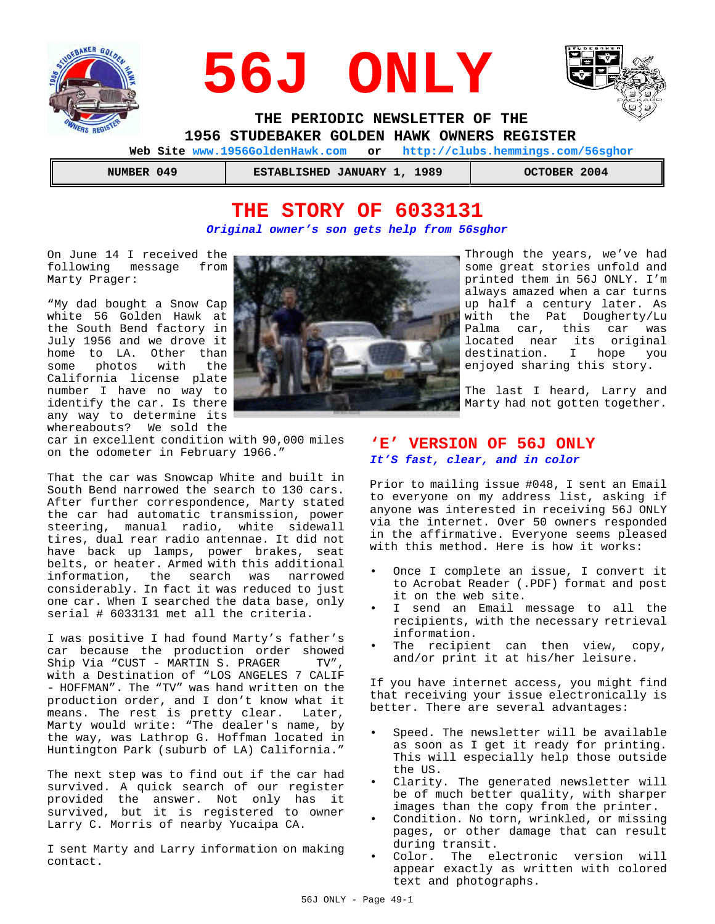





 **THE PERIODIC NEWSLETTER OF THE 1956 STUDEBAKER GOLDEN HAWK OWNERS REGISTER** 

 **Web Site www.1956GoldenHawk.com or http://clubs.hemmings.com/56sghor**

| NUMBER 049 |  |
|------------|--|
|            |  |

 **NUMBER 049 ESTABLISHED JANUARY 1, 1989 OCTOBER 2004**

# **THE STORY OF 6033131** *Original owner's son gets help from 56sghor*

On June 14 I received the following message from Marty Prager:

"My dad bought a Snow Cap white 56 Golden Hawk at the South Bend factory in July 1956 and we drove it home to LA. Other than some photos with the California license plate number I have no way to identify the car. Is there any way to determine its whereabouts? We sold the

car in excellent condition with 90,000 miles on the odometer in February 1966."

That the car was Snowcap White and built in South Bend narrowed the search to 130 cars. After further correspondence, Marty stated the car had automatic transmission, power steering, manual radio, white sidewall tires, dual rear radio antennae. It did not have back up lamps, power brakes, seat belts, or heater. Armed with this additional information, the search was narrowed considerably. In fact it was reduced to just one car. When I searched the data base, only serial # 6033131 met all the criteria.

I was positive I had found Marty's father's car because the production order showed Ship Via "CUST - MARTIN S. PRAGER TV", with a Destination of "LOS ANGELES 7 CALIF - HOFFMAN". The "TV" was hand written on the production order, and I don't know what it means. The rest is pretty clear. Later, Marty would write: "The dealer's name, by the way, was Lathrop G. Hoffman located in Huntington Park (suburb of LA) California."

The next step was to find out if the car had survived. A quick search of our register provided the answer. Not only has it survived, but it is registered to owner Larry C. Morris of nearby Yucaipa CA.

I sent Marty and Larry information on making contact.



Through the years, we've had some great stories unfold and printed them in 56J ONLY. I'm always amazed when a car turns up half a century later. As with the Pat Dougherty/Lu Palma car, this car was located near its original destination. I hope you enjoyed sharing this story.

The last I heard, Larry and Marty had not gotten together.

# **'E' VERSION OF 56J ONLY** *It'S fast, clear, and in color*

Prior to mailing issue #048, I sent an Email to everyone on my address list, asking if anyone was interested in receiving 56J ONLY via the internet. Over 50 owners responded in the affirmative. Everyone seems pleased with this method. Here is how it works:

- Once I complete an issue, I convert it to Acrobat Reader (.PDF) format and post it on the web site.
- I send an Email message to all the recipients, with the necessary retrieval information.
- The recipient can then view, copy, and/or print it at his/her leisure.

If you have internet access, you might find that receiving your issue electronically is better. There are several advantages:

- Speed. The newsletter will be available as soon as I get it ready for printing. This will especially help those outside the US.
- Clarity. The generated newsletter will be of much better quality, with sharper images than the copy from the printer.
- Condition. No torn, wrinkled, or missing pages, or other damage that can result during transit.
- Color. The electronic version will appear exactly as written with colored text and photographs.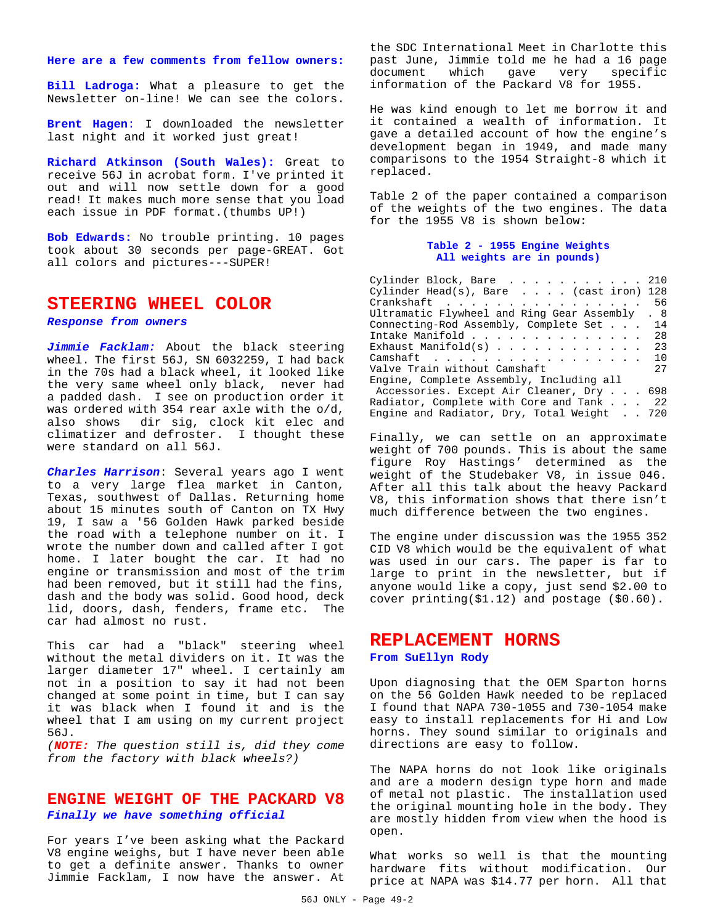**Here are a few comments from fellow owners:**

**Bill Ladroga:** What a pleasure to get the Newsletter on-line! We can see the colors.

**Brent Hagen**: I downloaded the newsletter last night and it worked just great!

**Richard Atkinson (South Wales):** Great to receive 56J in acrobat form. I've printed it out and will now settle down for a good read! It makes much more sense that you load each issue in PDF format.(thumbs UP!)

**Bob Edwards:** No trouble printing. 10 pages took about 30 seconds per page-GREAT. Got all colors and pictures---SUPER!

## **STEERING WHEEL COLOR**

*Response from owners*

*Jimmie Facklam:* About the black steering wheel. The first 56J, SN 6032259, I had back in the 70s had a black wheel, it looked like the very same wheel only black, never had a padded dash. I see on production order it was ordered with 354 rear axle with the o/d, also shows dir sig, clock kit elec and climatizer and defroster. I thought these were standard on all 56J.

*Charles Harrison*: Several years ago I went to a very large flea market in Canton, Texas, southwest of Dallas. Returning home about 15 minutes south of Canton on TX Hwy 19, I saw a '56 Golden Hawk parked beside the road with a telephone number on it. I wrote the number down and called after I got home. I later bought the car. It had no engine or transmission and most of the trim had been removed, but it still had the fins, dash and the body was solid. Good hood, deck lid, doors, dash, fenders, frame etc. The car had almost no rust.

This car had a "black" steering wheel without the metal dividers on it. It was the larger diameter 17" wheel. I certainly am not in a position to say it had not been changed at some point in time, but I can say it was black when I found it and is the wheel that I am using on my current project 56J.

*(NOTE: The question still is, did they come from the factory with black wheels?)*

## **ENGINE WEIGHT OF THE PACKARD V8** *Finally we have something official*

For years I've been asking what the Packard V8 engine weighs, but I have never been able to get a definite answer. Thanks to owner Jimmie Facklam, I now have the answer. At the SDC International Meet in Charlotte this past June, Jimmie told me he had a 16 page document which gave very specific information of the Packard V8 for 1955.

He was kind enough to let me borrow it and it contained a wealth of information. It gave a detailed account of how the engine's development began in 1949, and made many comparisons to the 1954 Straight-8 which it replaced.

Table 2 of the paper contained a comparison of the weights of the two engines. The data for the 1955 V8 is shown below:

#### **Table 2 - 1955 Engine Weights All weights are in pounds)**

Cylinder Block, Bare . . . . . . . . . . . 210 Cylinder Head(s), Bare .... (cast iron) 128 Crankshaft . . . . . . . . . . . . . . . . 56 Ultramatic Flywheel and Ring Gear Assembly . 8 Connecting-Rod Assembly, Complete Set . . . 14 Intake Manifold . . . . . . . . . . . . . . 28 Exhaust Manifold(s)  $\ldots$  . . . . . . . . . 23 Camshaft . . . . . . . . . . . . . . . . . 10 Valve Train without Camshaft 27 Engine, Complete Assembly, Including all Accessories. Except Air Cleaner, Dry . . . 698 Radiator, Complete with Core and Tank . . . 22 Engine and Radiator, Dry, Total Weight . . 720

Finally, we can settle on an approximate weight of 700 pounds. This is about the same figure Roy Hastings' determined as the weight of the Studebaker V8, in issue 046. After all this talk about the heavy Packard V8, this information shows that there isn't much difference between the two engines.

The engine under discussion was the 1955 352 CID V8 which would be the equivalent of what was used in our cars. The paper is far to large to print in the newsletter, but if anyone would like a copy, just send \$2.00 to cover printing(\$1.12) and postage (\$0.60).

## **REPLACEMENT HORNS From SuEllyn Rody**

Upon diagnosing that the OEM Sparton horns on the 56 Golden Hawk needed to be replaced I found that NAPA 730-1055 and 730-1054 make easy to install replacements for Hi and Low horns. They sound similar to originals and directions are easy to follow.

The NAPA horns do not look like originals and are a modern design type horn and made of metal not plastic. The installation used the original mounting hole in the body. They are mostly hidden from view when the hood is open.

What works so well is that the mounting hardware fits without modification. Our price at NAPA was \$14.77 per horn. All that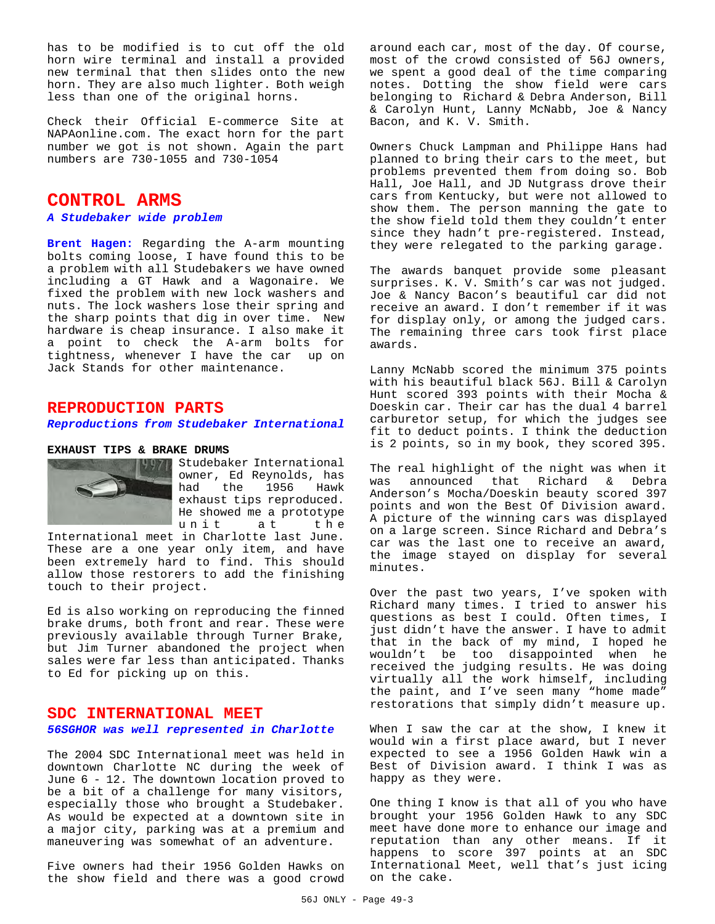has to be modified is to cut off the old horn wire terminal and install a provided new terminal that then slides onto the new horn. They are also much lighter. Both weigh less than one of the original horns.

Check their Official E-commerce Site at NAPAonline.com. The exact horn for the part number we got is not shown. Again the part numbers are 730-1055 and 730-1054

# **CONTROL ARMS**

#### *A Studebaker wide problem*

**Brent Hagen:** Regarding the A-arm mounting bolts coming loose, I have found this to be a problem with all Studebakers we have owned including a GT Hawk and a Wagonaire. We fixed the problem with new lock washers and nuts. The lock washers lose their spring and the sharp points that dig in over time. New hardware is cheap insurance. I also make it a point to check the A-arm bolts for tightness, whenever I have the car up on Jack Stands for other maintenance.

### **REPRODUCTION PARTS**

#### *Reproductions from Studebaker International*

#### **EXHAUST TIPS & BRAKE DRUMS**



Studebaker International owner, Ed Reynolds, has<br>had the 1956 Hawk had the 1956 exhaust tips reproduced. He showed me a prototype unit at the

International meet in Charlotte last June. These are a one year only item, and have been extremely hard to find. This should allow those restorers to add the finishing touch to their project.

Ed is also working on reproducing the finned brake drums, both front and rear. These were previously available through Turner Brake, but Jim Turner abandoned the project when sales were far less than anticipated. Thanks to Ed for picking up on this.

#### **SDC INTERNATIONAL MEET**

#### *56SGHOR was well represented in Charlotte*

The 2004 SDC International meet was held in downtown Charlotte NC during the week of June 6 - 12. The downtown location proved to be a bit of a challenge for many visitors, especially those who brought a Studebaker. As would be expected at a downtown site in a major city, parking was at a premium and maneuvering was somewhat of an adventure.

Five owners had their 1956 Golden Hawks on the show field and there was a good crowd around each car, most of the day. Of course, most of the crowd consisted of 56J owners, we spent a good deal of the time comparing notes. Dotting the show field were cars belonging to Richard & Debra Anderson, Bill & Carolyn Hunt, Lanny McNabb, Joe & Nancy Bacon, and K. V. Smith.

Owners Chuck Lampman and Philippe Hans had planned to bring their cars to the meet, but problems prevented them from doing so. Bob Hall, Joe Hall, and JD Nutgrass drove their cars from Kentucky, but were not allowed to show them. The person manning the gate to the show field told them they couldn't enter since they hadn't pre-registered. Instead, they were relegated to the parking garage.

The awards banquet provide some pleasant surprises. K. V. Smith's car was not judged. Joe & Nancy Bacon's beautiful car did not receive an award. I don't remember if it was for display only, or among the judged cars. The remaining three cars took first place awards.

Lanny McNabb scored the minimum 375 points with his beautiful black 56J. Bill & Carolyn Hunt scored 393 points with their Mocha & Doeskin car. Their car has the dual 4 barrel carburetor setup, for which the judges see fit to deduct points. I think the deduction is 2 points, so in my book, they scored 395.

The real highlight of the night was when it was announced that Richard & Debra Anderson's Mocha/Doeskin beauty scored 397 points and won the Best Of Division award. A picture of the winning cars was displayed on a large screen. Since Richard and Debra's car was the last one to receive an award, the image stayed on display for several minutes.

Over the past two years, I've spoken with Richard many times. I tried to answer his questions as best I could. Often times, I just didn't have the answer. I have to admit that in the back of my mind, I hoped he wouldn't be too disappointed when he received the judging results. He was doing virtually all the work himself, including the paint, and I've seen many "home made" restorations that simply didn't measure up.

When I saw the car at the show, I knew it would win a first place award, but I never expected to see a 1956 Golden Hawk win a Best of Division award. I think I was as happy as they were.

One thing I know is that all of you who have brought your 1956 Golden Hawk to any SDC meet have done more to enhance our image and reputation than any other means. If it happens to score 397 points at an SDC International Meet, well that's just icing on the cake.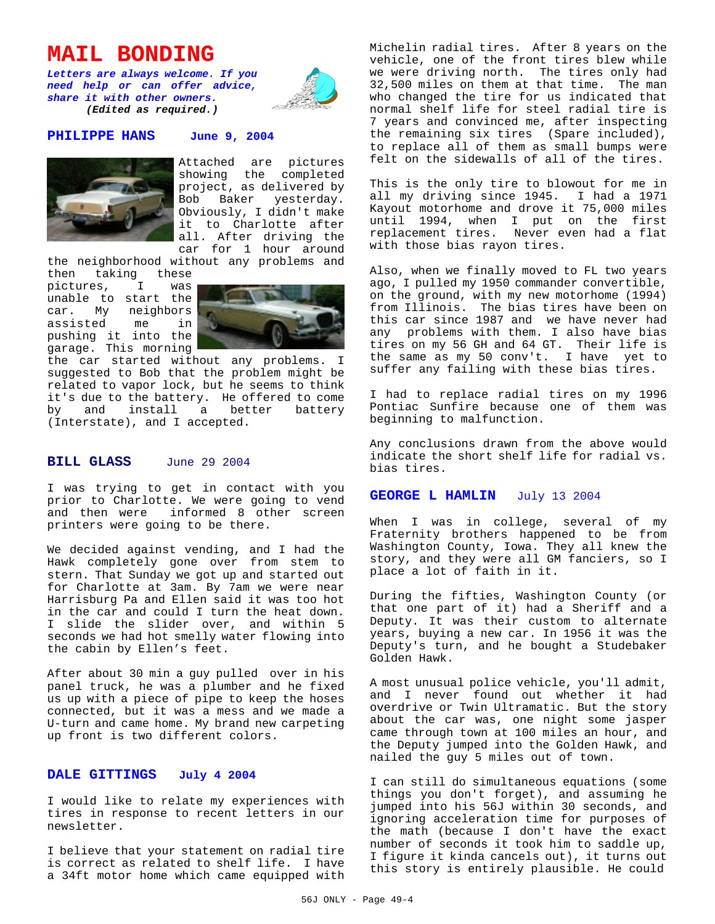# **MAIL BONDING**

*Letters are always welcome. If you need help or can offer advice, share it with other owners. (Edited as required.)*



#### **PHILIPPE HANS June 9, 2004**



Attached are pictures showing the completed project, as delivered by Bob Baker yesterday. Obviously, I didn't make it to Charlotte after all. After driving the car for 1 hour around

the neighborhood without any problems and

then taking these pictures, I was unable to start the car. My neighbors assisted me in pushing it into the garage. This morning



the car started without any problems. I suggested to Bob that the problem might be related to vapor lock, but he seems to think it's due to the battery. He offered to come<br>by and install a better battery by and install a (Interstate), and I accepted.

### **BILL GLASS** June 29 2004

I was trying to get in contact with you prior to Charlotte. We were going to vend and then were informed 8 other screen printers were going to be there.

We decided against vending, and I had the Hawk completely gone over from stem to stern. That Sunday we got up and started out for Charlotte at 3am. By 7am we were near Harrisburg Pa and Ellen said it was too hot in the car and could I turn the heat down. I slide the slider over, and within 5 seconds we had hot smelly water flowing into the cabin by Ellen's feet.

After about 30 min a guy pulled over in his panel truck, he was a plumber and he fixed us up with a piece of pipe to keep the hoses connected, but it was a mess and we made a U-turn and came home. My brand new carpeting up front is two different colors.

#### **DALE GITTINGS July 4 2004**

I would like to relate my experiences with tires in response to recent letters in our newsletter.

I believe that your statement on radial tire is correct as related to shelf life. I have a 34ft motor home which came equipped with Michelin radial tires. After 8 years on the vehicle, one of the front tires blew while we were driving north. The tires only had 32,500 miles on them at that time. The man who changed the tire for us indicated that normal shelf life for steel radial tire is 7 years and convinced me, after inspecting the remaining six tires (Spare included), to replace all of them as small bumps were felt on the sidewalls of all of the tires.

This is the only tire to blowout for me in all my driving since 1945. I had a 1971 Kayout motorhome and drove it 75,000 miles until 1994, when I put on the first replacement tires. Never even had a flat with those bias rayon tires.

Also, when we finally moved to FL two years ago, I pulled my 1950 commander convertible, on the ground, with my new motorhome (1994) from Illinois. The bias tires have been on this car since 1987 and we have never had any problems with them. I also have bias tires on my 56 GH and 64 GT. Their life is the same as my 50 conv't. I have yet to suffer any failing with these bias tires.

I had to replace radial tires on my 1996 Pontiac Sunfire because one of them was beginning to malfunction.

Any conclusions drawn from the above would indicate the short shelf life for radial vs. bias tires.

#### **GEORGE L HAMLIN** July 13 2004

When I was in college, several of my Fraternity brothers happened to be from Washington County, Iowa. They all knew the story, and they were all GM fanciers, so I place a lot of faith in it.

During the fifties, Washington County (or that one part of it) had a Sheriff and a Deputy. It was their custom to alternate years, buying a new car. In 1956 it was the Deputy's turn, and he bought a Studebaker Golden Hawk.

A most unusual police vehicle, you'll admit, and I never found out whether it had overdrive or Twin Ultramatic. But the story about the car was, one night some jasper came through town at 100 miles an hour, and the Deputy jumped into the Golden Hawk, and nailed the guy 5 miles out of town.

I can still do simultaneous equations (some things you don't forget), and assuming he jumped into his 56J within 30 seconds, and ignoring acceleration time for purposes of the math (because I don't have the exact number of seconds it took him to saddle up, I figure it kinda cancels out), it turns out this story is entirely plausible. He could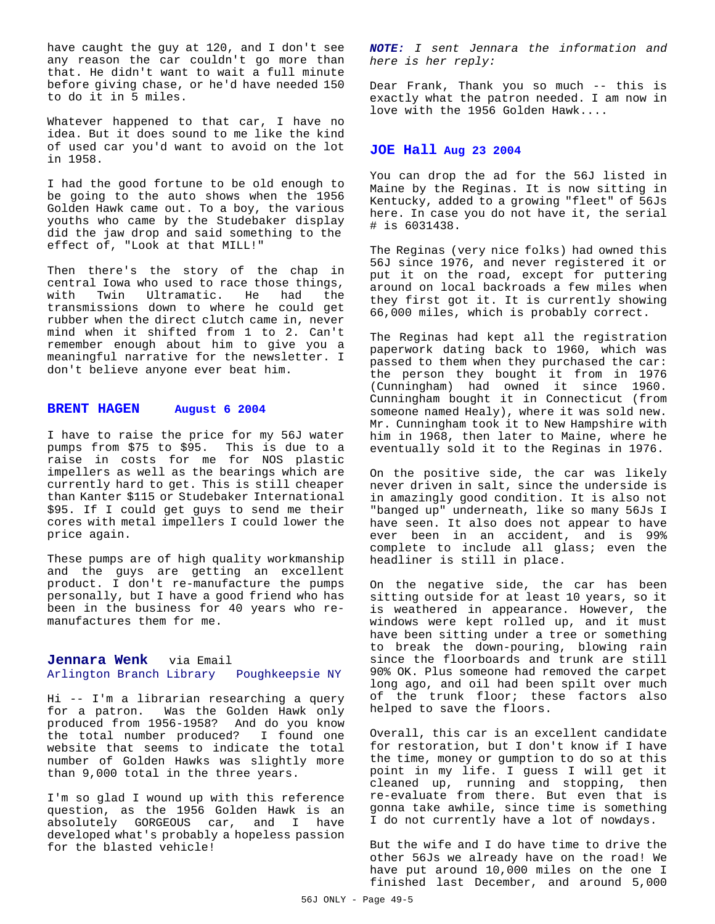have caught the guy at 120, and I don't see any reason the car couldn't go more than that. He didn't want to wait a full minute before giving chase, or he'd have needed 150 to do it in 5 miles.

Whatever happened to that car, I have no idea. But it does sound to me like the kind of used car you'd want to avoid on the lot in 1958.

I had the good fortune to be old enough to be going to the auto shows when the 1956 Golden Hawk came out. To a boy, the various youths who came by the Studebaker display did the jaw drop and said something to the effect of, "Look at that MILL!"

Then there's the story of the chap in central Iowa who used to race those things, with Twin Ultramatic. He had the transmissions down to where he could get rubber when the direct clutch came in, never mind when it shifted from 1 to 2. Can't remember enough about him to give you a meaningful narrative for the newsletter. I don't believe anyone ever beat him.

#### **BRENT HAGEN August 6 2004**

I have to raise the price for my 56J water pumps from \$75 to \$95. This is due to a raise in costs for me for NOS plastic impellers as well as the bearings which are currently hard to get. This is still cheaper than Kanter \$115 or Studebaker International \$95. If I could get guys to send me their cores with metal impellers I could lower the price again.

These pumps are of high quality workmanship and the guys are getting an excellent product. I don't re-manufacture the pumps personally, but I have a good friend who has been in the business for 40 years who remanufactures them for me.

## **Jennara Wenk** via Email Arlington Branch Library Poughkeepsie NY

Hi -- I'm a librarian researching a query for a patron. Was the Golden Hawk only produced from 1956-1958? And do you know the total number produced? I found one website that seems to indicate the total number of Golden Hawks was slightly more than 9,000 total in the three years.

I'm so glad I wound up with this reference question, as the 1956 Golden Hawk is an absolutely GORGEOUS car, and I have developed what's probably a hopeless passion for the blasted vehicle!

*NOTE: I sent Jennara the information and here is her reply:*

Dear Frank, Thank you so much -- this is exactly what the patron needed. I am now in love with the 1956 Golden Hawk....

#### **JOE Hall Aug 23 2004**

You can drop the ad for the 56J listed in Maine by the Reginas. It is now sitting in Kentucky, added to a growing "fleet" of 56Js here. In case you do not have it, the serial # is 6031438.

The Reginas (very nice folks) had owned this 56J since 1976, and never registered it or put it on the road, except for puttering around on local backroads a few miles when they first got it. It is currently showing 66,000 miles, which is probably correct.

The Reginas had kept all the registration paperwork dating back to 1960, which was passed to them when they purchased the car: the person they bought it from in 1976 (Cunningham) had owned it since 1960. Cunningham bought it in Connecticut (from someone named Healy), where it was sold new. Mr. Cunningham took it to New Hampshire with him in 1968, then later to Maine, where he eventually sold it to the Reginas in 1976.

On the positive side, the car was likely never driven in salt, since the underside is in amazingly good condition. It is also not "banged up" underneath, like so many 56Js I have seen. It also does not appear to have ever been in an accident, and is 99% complete to include all glass; even the headliner is still in place.

On the negative side, the car has been sitting outside for at least 10 years, so it is weathered in appearance. However, the windows were kept rolled up, and it must have been sitting under a tree or something to break the down-pouring, blowing rain since the floorboards and trunk are still 90% OK. Plus someone had removed the carpet long ago, and oil had been spilt over much of the trunk floor; these factors also helped to save the floors.

Overall, this car is an excellent candidate for restoration, but I don't know if I have the time, money or gumption to do so at this point in my life. I guess I will get it cleaned up, running and stopping, then re-evaluate from there. But even that is gonna take awhile, since time is something I do not currently have a lot of nowdays.

But the wife and I do have time to drive the other 56Js we already have on the road! We have put around 10,000 miles on the one I finished last December, and around 5,000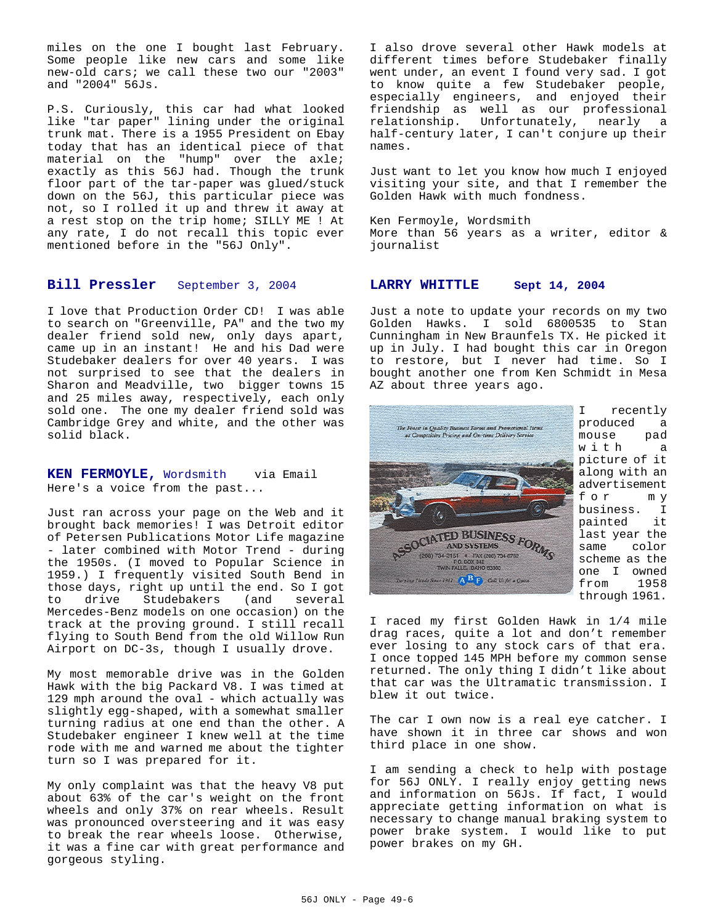miles on the one I bought last February. Some people like new cars and some like new-old cars; we call these two our "2003" and "2004" 56Js.

P.S. Curiously, this car had what looked like "tar paper" lining under the original trunk mat. There is a 1955 President on Ebay today that has an identical piece of that material on the "hump" over the axle; exactly as this 56J had. Though the trunk floor part of the tar-paper was glued/stuck down on the 56J, this particular piece was not, so I rolled it up and threw it away at a rest stop on the trip home; SILLY ME ! At any rate, I do not recall this topic ever mentioned before in the "56J Only".

### **Bill Pressler** September 3, 2004

I love that Production Order CD! I was able to search on "Greenville, PA" and the two my dealer friend sold new, only days apart, came up in an instant! He and his Dad were Studebaker dealers for over 40 years. I was not surprised to see that the dealers in Sharon and Meadville, two bigger towns 15 and 25 miles away, respectively, each only sold one. The one my dealer friend sold was Cambridge Grey and white, and the other was solid black.

**KEN FERMOYLE,** Wordsmith via Email Here's a voice from the past...

Just ran across your page on the Web and it brought back memories! I was Detroit editor of Petersen Publications Motor Life magazine - later combined with Motor Trend - during the 1950s. (I moved to Popular Science in 1959.) I frequently visited South Bend in those days, right up until the end. So I got to drive Studebakers (and several Mercedes-Benz models on one occasion) on the track at the proving ground. I still recall flying to South Bend from the old Willow Run Airport on DC-3s, though I usually drove.

My most memorable drive was in the Golden Hawk with the big Packard V8. I was timed at 129 mph around the oval - which actually was slightly egg-shaped, with a somewhat smaller turning radius at one end than the other. A Studebaker engineer I knew well at the time rode with me and warned me about the tighter turn so I was prepared for it.

My only complaint was that the heavy V8 put about 63% of the car's weight on the front wheels and only 37% on rear wheels. Result was pronounced oversteering and it was easy to break the rear wheels loose. Otherwise, it was a fine car with great performance and gorgeous styling.

I also drove several other Hawk models at different times before Studebaker finally went under, an event I found very sad. I got to know quite a few Studebaker people, especially engineers, and enjoyed their friendship as well as our professional relationship. Unfortunately, nearly a half-century later, I can't conjure up their names.

Just want to let you know how much I enjoyed visiting your site, and that I remember the Golden Hawk with much fondness.

Ken Fermoyle, Wordsmith More than 56 years as a writer, editor & journalist

#### **LARRY WHITTLE Sept 14, 2004**

Just a note to update your records on my two Golden Hawks. I sold 6800535 to Stan Cunningham in New Braunfels TX. He picked it up in July. I had bought this car in Oregon to restore, but I never had time. So I bought another one from Ken Schmidt in Mesa AZ about three years ago.



I recently produced a mouse pad with a picture of it along with an advertisement for my business. I painted it last year the same color scheme as the one I owned from 1958 through 1961.

I raced my first Golden Hawk in 1/4 mile drag races, quite a lot and don't remember ever losing to any stock cars of that era. I once topped 145 MPH before my common sense returned. The only thing I didn't like about that car was the Ultramatic transmission. I blew it out twice.

The car I own now is a real eye catcher. I have shown it in three car shows and won third place in one show.

I am sending a check to help with postage for 56J ONLY. I really enjoy getting news and information on 56Js. If fact, I would appreciate getting information on what is necessary to change manual braking system to power brake system. I would like to put power brakes on my GH.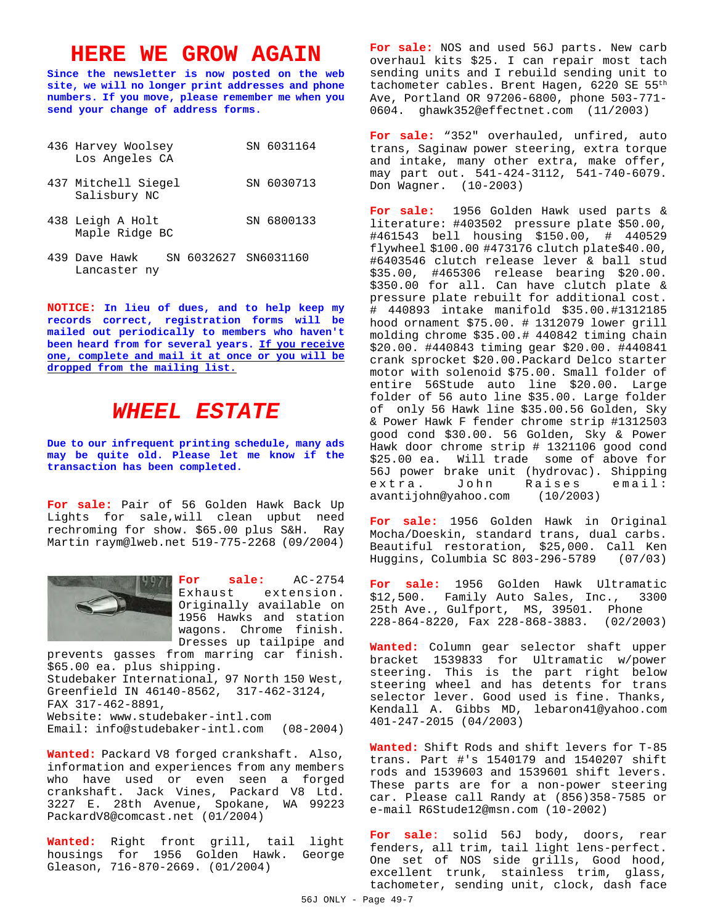# **HERE WE GROW AGAIN**

**Since the newsletter is now posted on the web site, we will no longer print addresses and phone numbers. If you move, please remember me when you send your change of address forms.**

| 436 Harvey Woolsey<br>Los Angeles CA | SN 6031164 |
|--------------------------------------|------------|
| 437 Mitchell Siegel<br>Salisbury NC  | SN 6030713 |
| 438 Leigh A Holt<br>Maple Ridge BC   | SN 6800133 |

439 Dave Hawk SN 6032627 SN6031160 Lancaster ny

**NOTICE: In lieu of dues, and to help keep my records correct, registration forms will be mailed out periodically to members who haven't been heard from for several years. If you receive one, complete and mail it at once or you will be dropped from the mailing list.**

# *WHEEL ESTATE*

**Due to our infrequent printing schedule, many ads may be quite old. Please let me know if the transaction has been completed.**

**For sale:** Pair of 56 Golden Hawk Back Up Lights for sale,will clean upbut need rechroming for show. \$65.00 plus S&H. Ray Martin raym@lweb.net 519-775-2268 (09/2004)



**For sale:** AC-2754 Exhaust extension. Originally available on 1956 Hawks and station wagons. Chrome finish. Dresses up tailpipe and

prevents gasses from marring car finish. \$65.00 ea. plus shipping. Studebaker International, 97 North 150 West, Greenfield IN 46140-8562, 317-462-3124, FAX 317-462-8891, Website: www.studebaker-intl.com Email: info@studebaker-intl.com (08-2004)

**Wanted:** Packard V8 forged crankshaft. Also, information and experiences from any members who have used or even seen a forged crankshaft. Jack Vines, Packard V8 Ltd. 3227 E. 28th Avenue, Spokane, WA 99223 PackardV8@comcast.net (01/2004)

**Wanted:** Right front grill, tail light housings for 1956 Golden Hawk. George Gleason, 716-870-2669. (01/2004)

**For sale:** NOS and used 56J parts. New carb overhaul kits \$25. I can repair most tach sending units and I rebuild sending unit to tachometer cables. Brent Hagen, 6220 SE 55th Ave, Portland OR 97206-6800, phone 503-771- 0604. ghawk352@effectnet.com (11/2003)

For sale: "352" overhauled, unfired, auto trans, Saginaw power steering, extra torque and intake, many other extra, make offer, may part out. 541-424-3112, 541-740-6079. Don Wagner. (10-2003)

**For sale:** 1956 Golden Hawk used parts & literature: #403502 pressure plate \$50.00, #461543 bell housing \$150.00, # 440529 flywheel \$100.00 #473176 clutch plate\$40.00, #6403546 clutch release lever & ball stud \$35.00, #465306 release bearing \$20.00. \$350.00 for all. Can have clutch plate & pressure plate rebuilt for additional cost. # 440893 intake manifold \$35.00.#1312185 hood ornament \$75.00. # 1312079 lower grill molding chrome \$35.00.# 440842 timing chain \$20.00. #440843 timing gear \$20.00. #440841 crank sprocket \$20.00.Packard Delco starter motor with solenoid \$75.00. Small folder of entire 56Stude auto line \$20.00. Large folder of 56 auto line \$35.00. Large folder of only 56 Hawk line \$35.00.56 Golden, Sky & Power Hawk F fender chrome strip #1312503 good cond \$30.00. 56 Golden, Sky & Power Hawk door chrome strip # 1321106 good cond \$25.00 ea. Will trade some of above for 56J power brake unit (hydrovac). Shipping extra. John Raises email: avantijohn@yahoo.com (10/2003)

**For sale:** 1956 Golden Hawk in Original Mocha/Doeskin, standard trans, dual carbs. Beautiful restoration, \$25,000. Call Ken Huggins, Columbia SC 803-296-5789 (07/03)

**For sale:** 1956 Golden Hawk Ultramatic \$12,500. Family Auto Sales, Inc., 3300 25th Ave., Gulfport, MS, 39501. Phone 228-864-8220, Fax 228-868-3883. (02/2003)

**Wanted:** Column gear selector shaft upper bracket 1539833 for Ultramatic w/power steering. This is the part right below steering wheel and has detents for trans selector lever. Good used is fine. Thanks, Kendall A. Gibbs MD, lebaron41@yahoo.com 401-247-2015 (04/2003)

**Wanted:** Shift Rods and shift levers for T-85 trans. Part #'s 1540179 and 1540207 shift rods and 1539603 and 1539601 shift levers. These parts are for a non-power steering car. Please call Randy at (856)358-7585 or e-mail R6Stude12@msn.com (10-2002)

**For sale**: solid 56J body, doors, rear fenders, all trim, tail light lens-perfect. One set of NOS side grills, Good hood, excellent trunk, stainless trim, glass, tachometer, sending unit, clock, dash face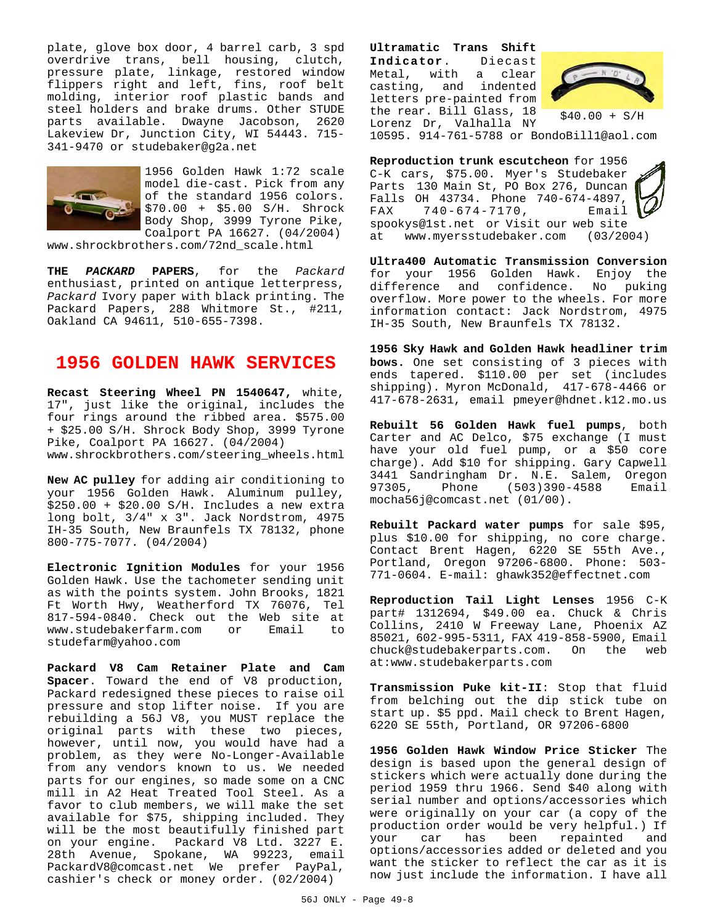plate, glove box door, 4 barrel carb, 3 spd overdrive trans, bell housing, clutch, pressure plate, linkage, restored window flippers right and left, fins, roof belt molding, interior roof plastic bands and steel holders and brake drums. Other STUDE parts available. Dwayne Jacobson, 2620 Lakeview Dr, Junction City, WI 54443. 715- 341-9470 or studebaker@g2a.net



1956 Golden Hawk 1:72 scale model die-cast. Pick from any of the standard 1956 colors. \$70.00 + \$5.00 S/H. Shrock Body Shop, 3999 Tyrone Pike, Coalport PA 16627. (04/2004)

www.shrockbrothers.com/72nd\_scale.html

**THE** *PACKARD* **PAPERS**, for the *Packard* enthusiast, printed on antique letterpress, *Packard* Ivory paper with black printing. The Packard Papers, 288 Whitmore St., #211, Oakland CA 94611, 510-655-7398.

## **1956 GOLDEN HAWK SERVICES**

**Recast Steering Wheel PN 1540647,** white, 17", just like the original, includes the four rings around the ribbed area. \$575.00 + \$25.00 S/H. Shrock Body Shop, 3999 Tyrone Pike, Coalport PA 16627. (04/2004) www.shrockbrothers.com/steering\_wheels.html

**New AC pulley** for adding air conditioning to your 1956 Golden Hawk. Aluminum pulley, \$250.00 + \$20.00 S/H. Includes a new extra long bolt, 3/4" x 3". Jack Nordstrom, 4975 IH-35 South, New Braunfels TX 78132, phone 800-775-7077. (04/2004)

**Electronic Ignition Modules** for your 1956 Golden Hawk. Use the tachometer sending unit as with the points system. John Brooks, 1821 Ft Worth Hwy, Weatherford TX 76076, Tel 817-594-0840. Check out the Web site at www.studebakerfarm.com or Email to studefarm@yahoo.com

**Packard V8 Cam Retainer Plate and Cam Spacer**. Toward the end of V8 production, Packard redesigned these pieces to raise oil pressure and stop lifter noise. If you are rebuilding a 56J V8, you MUST replace the original parts with these two pieces, however, until now, you would have had a problem, as they were No-Longer-Available from any vendors known to us. We needed parts for our engines, so made some on a CNC mill in A2 Heat Treated Tool Steel. As a favor to club members, we will make the set available for \$75, shipping included. They will be the most beautifully finished part on your engine. Packard V8 Ltd. 3227 E. 28th Avenue, Spokane, WA 99223, email PackardV8@comcast.net We prefer PayPal, cashier's check or money order. (02/2004)

**Ultramatic Trans Shift Indicator**. Diecast Metal, with casting, and indented letters pre-painted from the rear. Bill Glass, 18 Lorenz Dr, Valhalla NY



\$40.00 + S/H

10595. 914-761-5788 or BondoBill1@aol.com

**Reproduction trunk escutcheon** for 1956 C-K cars, \$75.00. Myer's Studebaker Parts 130 Main St, PO Box 276, Duncan Falls OH 43734. Phone 740-674-4897,<br>FAX 740-674-7170, Email 740-674-7170, Email spookys@1st.net or Visit our web site at www.myersstudebaker.com (03/2004)

**Ultra400 Automatic Transmission Conversion** for your 1956 Golden Hawk. Enjoy the difference and confidence. No puking overflow. More power to the wheels. For more information contact: Jack Nordstrom, 4975 IH-35 South, New Braunfels TX 78132.

**1956 Sky Hawk and Golden Hawk headliner trim bows.** One set consisting of 3 pieces with ends tapered. \$110.00 per set (includes shipping). Myron McDonald, 417-678-4466 or 417-678-2631, email pmeyer@hdnet.k12.mo.us

**Rebuilt 56 Golden Hawk fuel pumps**, both Carter and AC Delco, \$75 exchange (I must have your old fuel pump, or a \$50 core charge). Add \$10 for shipping. Gary Capwell 3441 Sandringham Dr. N.E. Salem, Oregon (503)390-4588 mocha56j@comcast.net (01/00).

**Rebuilt Packard water pumps** for sale \$95, plus \$10.00 for shipping, no core charge. Contact Brent Hagen, 6220 SE 55th Ave., Portland, Oregon 97206-6800. Phone: 503- 771-0604. E-mail: ghawk352@effectnet.com

**Reproduction Tail Light Lenses** 1956 C-K part# 1312694, \$49.00 ea. Chuck & Chris Collins, 2410 W Freeway Lane, Phoenix AZ 85021, 602-995-5311, FAX 419-858-5900, Email chuck@studebakerparts.com. On the web at:www.studebakerparts.com

**Transmission Puke kit-II**: Stop that fluid from belching out the dip stick tube on start up. \$5 ppd. Mail check to Brent Hagen, 6220 SE 55th, Portland, OR 97206-6800

**1956 Golden Hawk Window Price Sticker** The design is based upon the general design of stickers which were actually done during the period 1959 thru 1966. Send \$40 along with serial number and options/accessories which were originally on your car (a copy of the production order would be very helpful.) If your car has been repainted and options/accessories added or deleted and you want the sticker to reflect the car as it is now just include the information. I have all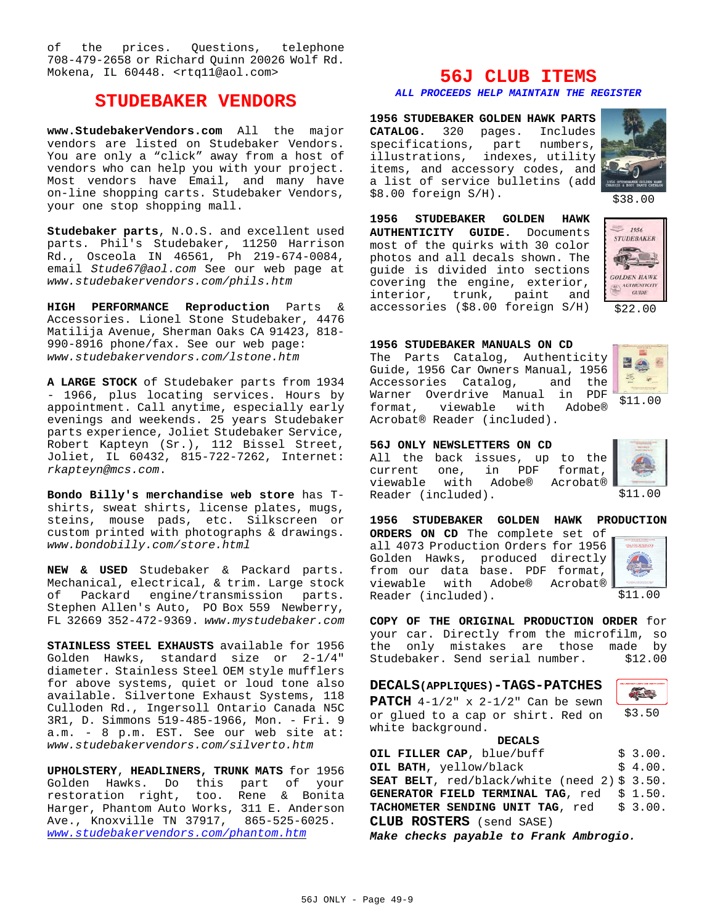of the prices. Questions, telephone 708-479-2658 or Richard Quinn 20026 Wolf Rd. Mokena, IL 60448. <rtq11@aol.com>

## **STUDEBAKER VENDORS**

**www.StudebakerVendors.com** All the major vendors are listed on Studebaker Vendors. You are only a "click" away from a host of vendors who can help you with your project. Most vendors have Email, and many have on-line shopping carts. Studebaker Vendors, your one stop shopping mall.

**Studebaker parts**, N.O.S. and excellent used parts. Phil's Studebaker, 11250 Harrison Rd., Osceola IN 46561, Ph 219-674-0084, email *Stude67@aol.com* See our web page at *www.studebakervendors.com/phils.htm*

**HIGH PERFORMANCE Reproduction** Parts & Accessories. Lionel Stone Studebaker, 4476 Matilija Avenue, Sherman Oaks CA 91423, 818- 990-8916 phone/fax. See our web page: *www.studebakervendors.com/lstone.htm*

**A LARGE STOCK** of Studebaker parts from 1934 - 1966, plus locating services. Hours by appointment. Call anytime, especially early evenings and weekends. 25 years Studebaker parts experience, Joliet Studebaker Service, Robert Kapteyn (Sr.), 112 Bissel Street, Joliet, IL 60432, 815-722-7262, Internet: *rkapteyn@mcs.com*.

**Bondo Billy's merchandise web store** has Tshirts, sweat shirts, license plates, mugs, steins, mouse pads, etc. Silkscreen or custom printed with photographs & drawings. *www.bondobilly.com/store.html*

**NEW & USED** Studebaker & Packard parts. Mechanical, electrical, & trim. Large stock of Packard engine/transmission parts. Stephen Allen's Auto, PO Box 559 Newberry, FL 32669 352-472-9369. *www.mystudebaker.com*

**STAINLESS STEEL EXHAUSTS** available for 1956 Golden Hawks, standard size or 2-1/4" diameter. Stainless Steel OEM style mufflers for above systems, quiet or loud tone also available. Silvertone Exhaust Systems, 118 Culloden Rd., Ingersoll Ontario Canada N5C 3R1, D. Simmons 519-485-1966, Mon. - Fri. 9 a.m. - 8 p.m. EST. See our web site at: *www.studebakervendors.com/silverto.htm*

**UPHOLSTERY**, **HEADLINERS, TRUNK MATS** for 1956 Golden Hawks. Do this part of your restoration right, too. Rene & Bonita Harger, Phantom Auto Works, 311 E. Anderson Ave., Knoxville TN 37917, 865-525-6025. *www.studebakervendors.com/phantom.htm*

# **56J CLUB ITEMS**

*ALL PROCEEDS HELP MAINTAIN THE REGISTER*

**1956 STUDEBAKER GOLDEN HAWK PARTS CATALOG.** 320 pages. Includes specifications, part numbers, illustrations, indexes, utility items, and accessory codes, and a list of service bulletins (add \$8.00 foreign S/H).



\$38.00

**1956 STUDEBAKER GOLDEN HAWK AUTHENTICITY GUIDE.** Documents most of the quirks with 30 color photos and all decals shown. The guide is divided into sections covering the engine, exterior, interior, trunk, paint and accessories (\$8.00 foreign S/H)



\$22.00

#### **1956 STUDEBAKER MANUALS ON CD**

The Parts Catalog, Authenticity Guide, 1956 Car Owners Manual, 1956 Accessories Catalog, and the Warner Overdrive Manual in PDF format, viewable with Adobe® Acrobat® Reader (included).



**56J ONLY NEWSLETTERS ON CD** All the back issues, up to the

current one, in PDF format, viewable with Adobe® Acrobat® Reader (included).



\$11.00

\$11.00 **1956 STUDEBAKER GOLDEN HAWK PRODUCTION ORDERS ON CD** The complete set of all 4073 Production Orders for 1956 Golden Hawks, produced directly from our data base. PDF format, viewable with Adobe® Acrobat® Reader (included).

**COPY OF THE ORIGINAL PRODUCTION ORDER** for your car. Directly from the microfilm, so the only mistakes are those made by Studebaker. Send serial number. \$12.00

|  | <b>DECALS (APPLIQUES) - TAGS-PATCHES</b> |  |  |
|--|------------------------------------------|--|--|
|--|------------------------------------------|--|--|

**PATCH** 4-1/2" x 2-1/2" Can be sewn or glued to a cap or shirt. Red on white background.

**DECALS OIL FILLER CAP**, blue/buff  $\qquad$ \$ 3.00. **OIL BATH**, yellow/black  $\qquad$  \$ 4.00. **SEAT BELT**, red/black/white (need 2) \$ 3.50. GENERATOR FIELD TERMINAL TAG, red \$ 1.50. TACHOMETER SENDING UNIT TAG, red \$ 3.00.

**CLUB ROSTERS** (send SASE)

*Make checks payable to Frank Ambrogio.*